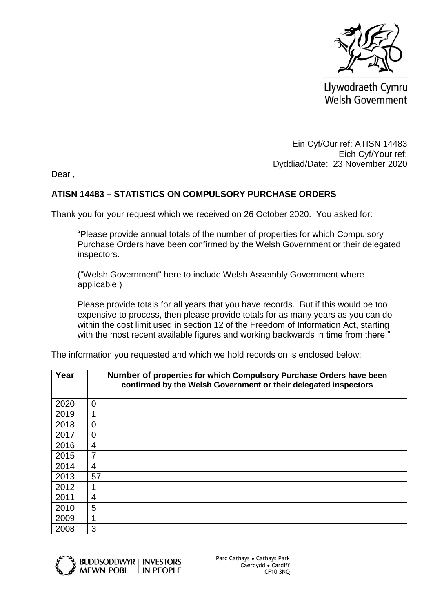

Llywodraeth Cymru **Welsh Government** 

Ein Cyf/Our ref: ATISN 14483 Eich Cyf/Your ref: Dyddiad/Date: 23 November 2020

Dear ,

## **ATISN 14483 – STATISTICS ON COMPULSORY PURCHASE ORDERS**

Thank you for your request which we received on 26 October 2020. You asked for:

"Please provide annual totals of the number of properties for which Compulsory Purchase Orders have been confirmed by the Welsh Government or their delegated inspectors.

("Welsh Government" here to include Welsh Assembly Government where applicable.)

Please provide totals for all years that you have records. But if this would be too expensive to process, then please provide totals for as many years as you can do within the cost limit used in section 12 of the Freedom of Information Act, starting with the most recent available figures and working backwards in time from there."

| Year | Number of properties for which Compulsory Purchase Orders have been<br>confirmed by the Welsh Government or their delegated inspectors |
|------|----------------------------------------------------------------------------------------------------------------------------------------|
| 2020 | $\overline{0}$                                                                                                                         |
| 2019 | 1                                                                                                                                      |
| 2018 | $\overline{0}$                                                                                                                         |
| 2017 | 0                                                                                                                                      |
| 2016 | 4                                                                                                                                      |
| 2015 | 7                                                                                                                                      |
| 2014 | 4                                                                                                                                      |
| 2013 | 57                                                                                                                                     |
| 2012 |                                                                                                                                        |
| 2011 | 4                                                                                                                                      |
| 2010 | 5                                                                                                                                      |
| 2009 | 1                                                                                                                                      |
| 2008 | 3                                                                                                                                      |

The information you requested and which we hold records on is enclosed below: